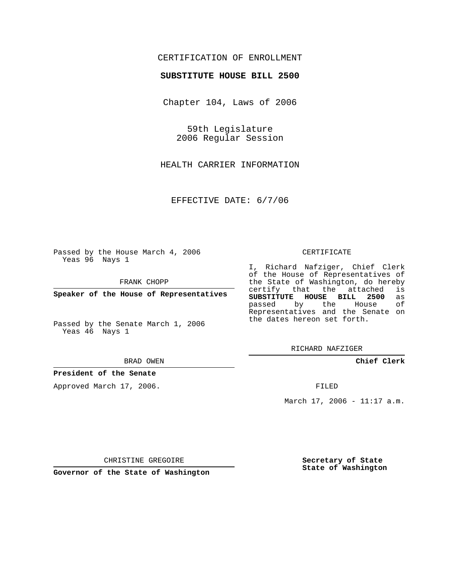## CERTIFICATION OF ENROLLMENT

### **SUBSTITUTE HOUSE BILL 2500**

Chapter 104, Laws of 2006

59th Legislature 2006 Regular Session

HEALTH CARRIER INFORMATION

EFFECTIVE DATE: 6/7/06

Passed by the House March 4, 2006 Yeas 96 Nays 1

FRANK CHOPP

**Speaker of the House of Representatives**

Passed by the Senate March 1, 2006 Yeas 46 Nays 1

#### BRAD OWEN

## **President of the Senate**

Approved March 17, 2006.

#### CERTIFICATE

I, Richard Nafziger, Chief Clerk of the House of Representatives of the State of Washington, do hereby<br>certify that the attached is certify that the attached **SUBSTITUTE HOUSE BILL 2500** as passed by the House Representatives and the Senate on the dates hereon set forth.

RICHARD NAFZIGER

**Chief Clerk**

FILED

March 17, 2006 - 11:17 a.m.

CHRISTINE GREGOIRE

**Governor of the State of Washington**

**Secretary of State State of Washington**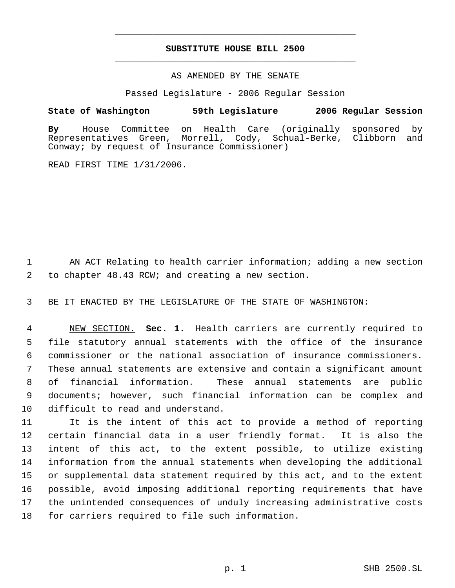# **SUBSTITUTE HOUSE BILL 2500** \_\_\_\_\_\_\_\_\_\_\_\_\_\_\_\_\_\_\_\_\_\_\_\_\_\_\_\_\_\_\_\_\_\_\_\_\_\_\_\_\_\_\_\_\_

\_\_\_\_\_\_\_\_\_\_\_\_\_\_\_\_\_\_\_\_\_\_\_\_\_\_\_\_\_\_\_\_\_\_\_\_\_\_\_\_\_\_\_\_\_

## AS AMENDED BY THE SENATE

Passed Legislature - 2006 Regular Session

## **State of Washington 59th Legislature 2006 Regular Session**

**By** House Committee on Health Care (originally sponsored by Green, Morrell, Cody, Schual-Berke, Clibborn and Conway; by request of Insurance Commissioner)

READ FIRST TIME 1/31/2006.

1 AN ACT Relating to health carrier information; adding a new section 2 to chapter 48.43 RCW; and creating a new section.

3 BE IT ENACTED BY THE LEGISLATURE OF THE STATE OF WASHINGTON:

 NEW SECTION. **Sec. 1.** Health carriers are currently required to file statutory annual statements with the office of the insurance commissioner or the national association of insurance commissioners. These annual statements are extensive and contain a significant amount of financial information. These annual statements are public documents; however, such financial information can be complex and difficult to read and understand.

 It is the intent of this act to provide a method of reporting certain financial data in a user friendly format. It is also the intent of this act, to the extent possible, to utilize existing information from the annual statements when developing the additional or supplemental data statement required by this act, and to the extent possible, avoid imposing additional reporting requirements that have the unintended consequences of unduly increasing administrative costs for carriers required to file such information.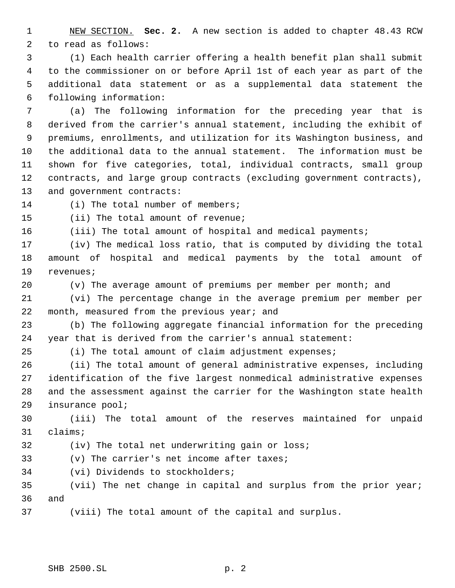NEW SECTION. **Sec. 2.** A new section is added to chapter 48.43 RCW to read as follows:

 (1) Each health carrier offering a health benefit plan shall submit to the commissioner on or before April 1st of each year as part of the additional data statement or as a supplemental data statement the following information:

 (a) The following information for the preceding year that is derived from the carrier's annual statement, including the exhibit of premiums, enrollments, and utilization for its Washington business, and the additional data to the annual statement. The information must be shown for five categories, total, individual contracts, small group contracts, and large group contracts (excluding government contracts), and government contracts:

14 (i) The total number of members;

(ii) The total amount of revenue;

(iii) The total amount of hospital and medical payments;

 (iv) The medical loss ratio, that is computed by dividing the total amount of hospital and medical payments by the total amount of revenues;

(v) The average amount of premiums per member per month; and

 (vi) The percentage change in the average premium per member per month, measured from the previous year; and

 (b) The following aggregate financial information for the preceding year that is derived from the carrier's annual statement:

(i) The total amount of claim adjustment expenses;

 (ii) The total amount of general administrative expenses, including identification of the five largest nonmedical administrative expenses and the assessment against the carrier for the Washington state health insurance pool;

 (iii) The total amount of the reserves maintained for unpaid claims;

(iv) The total net underwriting gain or loss;

(v) The carrier's net income after taxes;

(vi) Dividends to stockholders;

 (vii) The net change in capital and surplus from the prior year; and

(viii) The total amount of the capital and surplus.